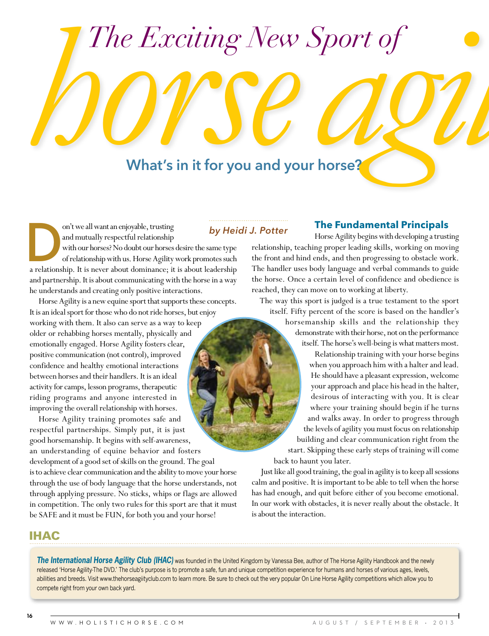# *The Exciting New Sport of horsellands*<br>*horsellands horsellands what's in it for you and you* **Exciting New Sport of Consumer Sport of Consumer Sport of Consumer Sport of Consumer Sport of Consumer Sponsors**

on't we all want an enjoyable, trusting<br>
and mutually respectful relationship<br>
with our horses? No doubt our horses desire the same type<br>
of relationship with us. Horse Agility work promotes such<br>
a relationship. It is nev and mutually respectful relationship with our horses? No doubt our horses desire the same type

of relationship with us. Horse Agility work promotes such and partnership. It is about communicating with the horse in a way he understands and creating only positive interactions.

Horse Agility is a new equine sport that supports these concepts. It is an ideal sport for those who do not ride horses, but enjoy working with them. It also can serve as a way to keep older or rehabbing horses mentally, physically and emotionally engaged. Horse Agility fosters clear, positive communication (not control), improved confidence and healthy emotional interactions between horses and their handlers. It is an ideal activity for camps, lesson programs, therapeutic riding programs and anyone interested in improving the overall relationship with horses.

Horse Agility training promotes safe and respectful partnerships. Simply put, it is just good horsemanship. It begins with self-awareness, an understanding of equine behavior and fosters development of a good set of skills on the ground. The goal is to achieve clear communication and the ability to move your horse through the use of body language that the horse understands, not through applying pressure. No sticks, whips or flags are allowed in competition. The only two rules for this sport are that it must be SAFE and it must be FUN, for both you and your horse!

# *by Heidi J. Potter*

## **The Fundamental Principals**

Horse Agility begins with developing a trusting relationship, teaching proper leading skills, working on moving the front and hind ends, and then progressing to obstacle work. The handler uses body language and verbal commands to guide the horse. Once a certain level of confidence and obedience is reached, they can move on to working at liberty.

The way this sport is judged is a true testament to the sport itself. Fifty percent of the score is based on the handler's

> horsemanship skills and the relationship they demonstrate with their horse, not on the performance itself. The horse's well-being is what matters most.

Relationship training with your horse begins when you approach him with a halter and lead. He should have a pleasant expression, welcome your approach and place his head in the halter, desirous of interacting with you. It is clear where your training should begin if he turns and walks away. In order to progress through the levels of agility you must focus on relationship building and clear communication right from the start. Skipping these early steps of training will come back to haunt you later.

Just like all good training, the goal in agility is to keep all sessions calm and positive. It is important to be able to tell when the horse has had enough, and quit before either of you become emotional. In our work with obstacles, it is never really about the obstacle. It is about the interaction.

# IHAC

**The International Horse Agility Club (IHAC)** was founded in the United Kingdom by Vanessa Bee, author of The Horse Agility Handbook and the newly released 'Horse Agility-The DVD.' The club's purpose is to promote a safe, fun and unique competition experience for humans and horses of various ages, levels, abilities and breeds. Visit<www.thehorseagiityclub.com>to learn more. Be sure to check out the very popular On Line Horse Agility competitions which allow you to compete right from your own back yard.